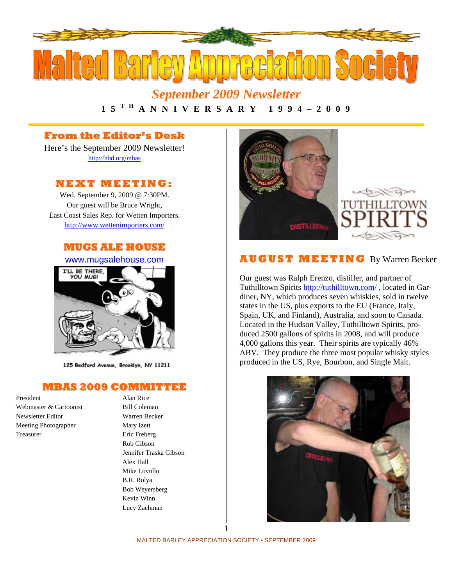

*September 2009 Newsletter* 

**1 5 T H A N N I V E R S A R Y 1 9 9 4 – 2 0 0 9** 

## **From the Editor's Desk**

Here's the September 2009 Newsletter! http://hbd.org/mbas

## **NEXT MEETI NG:**

Wed. September 9, 2009 @ 7:30PM. Our guest will be Bruce Wright, East Coast Sales Rep. for Wetten Importers. http://www.wettenimporters.com/





125 Bedford Avenue, Brooklyn, NY 11211

#### **MBAS 2009 COMMITTEE**

President Alan Rice Webmaster & Cartoonist Bill Coleman Newsletter Editor Warren Becker Meeting Photographer Mary Izett Treasurer Eric Freberg

Rob Gibson Jennifer Traska Gibson Alex Hall Mike Lovullo B.R. Rolya Bob Weyersberg Kevin Winn Lucy Zachman



### **AU G US T MEETI N G** By Warren Becker

Our guest was Ralph Erenzo, distiller, and partner of Tuthilltown Spirits http://tuthilltown.com/ , located in Gardiner, NY, which produces seven whiskies, sold in twelve states in the US, plus exports to the EU (France, Italy, Spain, UK, and Finland), Australia, and soon to Canada. Located in the Hudson Valley, Tuthilltown Spirits, produced 2500 gallons of spirits in 2008, and will produce 4,000 gallons this year. Their spirits are typically 46% ABV. They produce the three most popular whisky styles produced in the US, Rye, Bourbon, and Single Malt.

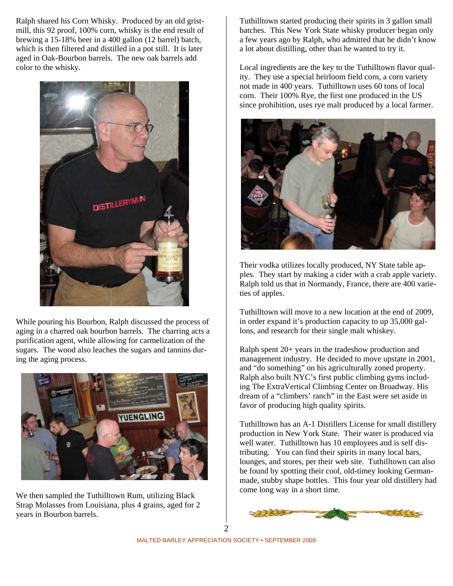Ralph shared his Corn Whisky. Produced by an old gristmill, this 92 proof, 100% corn, whisky is the end result of brewing a 15-18% beer in a 400 gallon (12 barrel) batch, which is then filtered and distilled in a pot still. It is later aged in Oak-Bourbon barrels. The new oak barrels add color to the whisky.



While pouring his Bourbon, Ralph discussed the process of aging in a charred oak bourbon barrels. The charring acts a purification agent, while allowing for carmelization of the sugars. The wood also leaches the sugars and tannins during the aging process.



We then sampled the Tuthilltown Rum, utilizing Black Strap Molasses from Louisiana, plus 4 grains, aged for 2 years in Bourbon barrels.

Tuthilltown started producing their spirits in 3 gallon small batches. This New York State whisky producer began only a few years ago by Ralph, who admitted that he didn't know a lot about distilling, other than he wanted to try it.

Local ingredients are the key to the Tuthilltown flavor quality. They use a special heirloom field corn, a corn variety not made in 400 years. Tuthilltown uses 60 tons of local corn. Their 100% Rye, the first one produced in the US since prohibition, uses rye malt produced by a local farmer.



Their vodka utilizes locally produced, NY State table apples. They start by making a cider with a crab apple variety. Ralph told us that in Normandy, France, there are 400 varieties of apples.

Tuthilltown will move to a new location at the end of 2009, in order expand it's production capacity to up 35,000 gallons, and research for their single malt whiskey.

Ralph spent 20+ years in the tradeshow production and management industry. He decided to move upstate in 2001, and "do something" on his agriculturally zoned property. Ralph also built NYC's first public climbing gyms including The ExtraVertical Climbing Center on Broadway. His dream of a "climbers' ranch" in the East were set aside in favor of producing high quality spirits.

Tuthilltown has an A-1 Distillers License for small distillery production in New York State. Their water is produced via well water. Tuthilltown has 10 employees and is self distributing. You can find their spirits in many local bars, lounges, and stores, per their web site. Tuthilltown can also be found by spotting their cool, old-timey looking Germanmade, stubby shape bottles. This four year old distillery had come long way in a short time.

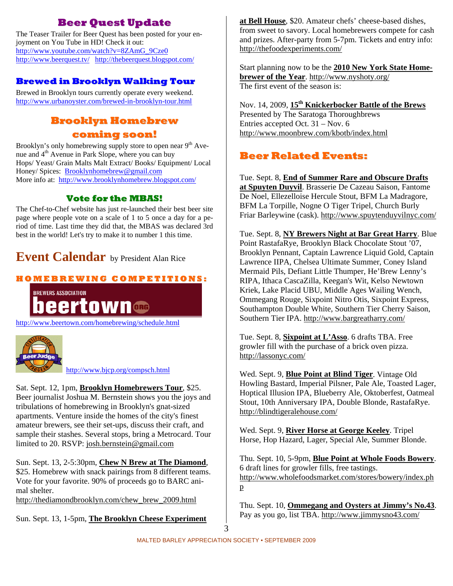## **Beer Quest Update**

The Teaser Trailer for Beer Quest has been posted for your enjoyment on You Tube in HD! Check it out: http://www.youtube.com/watch?v=8ZAmG\_9Cze0 http://www.beerquest.tv/ http://thebeerquest.blogspot.com/

## **Brewed in Brooklyn Walking Tour**

Brewed in Brooklyn tours currently operate every weekend. http://www.urbanoyster.com/brewed-in-brooklyn-tour.html

## **Brooklyn Homebrew coming soon!**

Brooklyn's only homebrewing supply store to open near  $9<sup>th</sup>$  Avenue and  $4<sup>th</sup>$  Avenue in Park Slope, where you can buy Hops/ Yeast/ Grain Malts Malt Extract/ Books/ Equipment/ Local Honey/ Spices: Brooklynhomebrew@gmail.com More info at: http://www.brooklynhomebrew.blogspot.com/

## **Vote for the MBAS!**

The Chef-to-Chef website has just re-launched their best beer site page where people vote on a scale of 1 to 5 once a day for a period of time. Last time they did that, the MBAS was declared 3rd best in the world! Let's try to make it to number 1 this time.

# **Event Calendar** by President Alan Rice

## **H O M E B R E WI N G C O M P E TI TI O N S:**



http://www.beertown.com/homebrewing/schedule.html



http://www.bjcp.org/compsch.html

Sat. Sept. 12, 1pm, **Brooklyn Homebrewers Tour**, \$25. Beer journalist Joshua M. Bernstein shows you the joys and tribulations of homebrewing in Brooklyn's gnat-sized apartments. Venture inside the homes of the city's finest amateur brewers, see their set-ups, discuss their craft, and sample their stashes. Several stops, bring a Metrocard. Tour limited to 20. RSVP: josh.bernstein@gmail.com

Sun. Sept. 13, 2-5:30pm, **Chew N Brew at The Diamond**, \$25. Homebrew with snack pairings from 8 different teams. Vote for your favorite. 90% of proceeds go to BARC animal shelter.

http://thediamondbrooklyn.com/chew\_brew\_2009.html

Sun. Sept. 13, 1-5pm, **The Brooklyn Cheese Experiment** 

**at Bell House**, \$20. Amateur chefs' cheese-based dishes, from sweet to savory. Local homebrewers compete for cash and prizes. After-party from 5-7pm. Tickets and entry info: http://thefoodexperiments.com/

Start planning now to be the **2010 New York State Homebrewer of the Year**. http://www.nyshoty.org/ The first event of the season is:

Nov. 14, 2009, **15th Knickerbocker Battle of the Brews**  Presented by The Saratoga Thoroughbrews Entries accepted Oct. 31 – Nov. 6 http://www.moonbrew.com/kbotb/index.html

## **Beer Related Events:**

Tue. Sept. 8, **End of Summer Rare and Obscure Drafts at Spuyten Duyvil**. Brasserie De Cazeau Saison, Fantome De Noel, Ellezelloise Hercule Stout, BFM La Madragore, BFM La Torpille, Nogne O Tiger Tripel, Church Burly Friar Barleywine (cask). http://www.spuytenduyvilnyc.com/

Tue. Sept. 8, **NY Brewers Night at Bar Great Harry**. Blue Point RastafaRye, Brooklyn Black Chocolate Stout '07, Brooklyn Pennant, Captain Lawrence Liquid Gold, Captain Lawrence IIPA, Chelsea Ultimate Summer, Coney Island Mermaid Pils, Defiant Little Thumper, He'Brew Lenny's RIPA, Ithaca CascaZilla, Keegan's Wit, Kelso Newtown Kriek, Lake Placid UBU, Middle Ages Wailing Wench, Ommegang Rouge, Sixpoint Nitro Otis, Sixpoint Express, Southampton Double White, Southern Tier Cherry Saison, Southern Tier IPA. http://www.bargreatharry.com/

Tue. Sept. 8, **Sixpoint at L'Asso**. 6 drafts TBA. Free growler fill with the purchase of a brick oven pizza. http://lassonyc.com/

Wed. Sept. 9, **Blue Point at Blind Tiger**. Vintage Old Howling Bastard, Imperial Pilsner, Pale Ale, Toasted Lager, Hoptical Illusion IPA, Blueberry Ale, Oktoberfest, Oatmeal Stout, 10th Anniversary IPA, Double Blonde, RastafaRye. http://blindtigeralehouse.com/

Wed. Sept. 9, **River Horse at George Keeley**. Tripel Horse, Hop Hazard, Lager, Special Ale, Summer Blonde.

Thu. Sept. 10, 5-9pm, **Blue Point at Whole Foods Bowery**. 6 draft lines for growler fills, free tastings. http://www.wholefoodsmarket.com/stores/bowery/index.ph p

Thu. Sept. 10, **Ommegang and Oysters at Jimmy's No.43**. Pay as you go, list TBA. http://www.jimmysno43.com/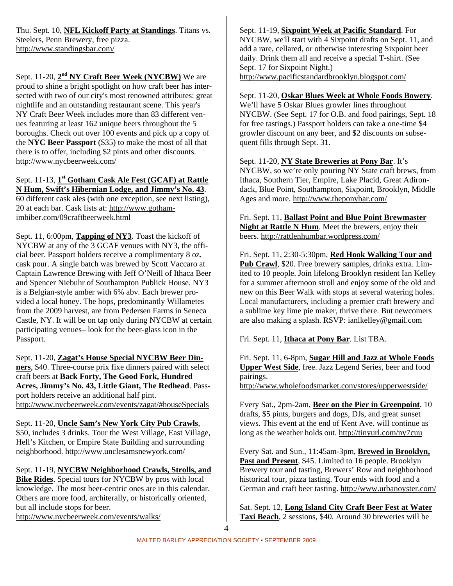Thu. Sept. 10, **NFL Kickoff Party at Standings**. Titans vs. Steelers, Penn Brewery, free pizza. http://www.standingsbar.com/

Sept. 11-20,  $2<sup>nd</sup> NY Craft Beer Week (NYCBW)$  We are proud to shine a bright spotlight on how craft beer has intersected with two of our city's most renowned attributes: great nightlife and an outstanding restaurant scene. This year's NY Craft Beer Week includes more than 83 different venues featuring at least 162 unique beers throughout the 5 boroughs. Check out over 100 events and pick up a copy of the **NYC Beer Passport** (\$35) to make the most of all that there is to offer, including \$2 pints and other discounts. http://www.nycbeerweek.com/

#### Sept. 11-13, **1st Gotham Cask Ale Fest (GCAF) at Rattle N Hum, Swift's Hibernian Lodge, and Jimmy's No. 43**.

60 different cask ales (with one exception, see next listing), 20 at each bar. Cask lists at: http://www.gothamimbiber.com/09craftbeerweek.html

Sept. 11, 6:00pm, **Tapping of NY3**. Toast the kickoff of NYCBW at any of the 3 GCAF venues with NY3, the official beer. Passport holders receive a complimentary 8 oz. cask pour. A single batch was brewed by Scott Vaccaro at Captain Lawrence Brewing with Jeff O'Neill of Ithaca Beer and Spencer Niebuhr of Southampton Publick House. NY3 is a Belgian-style amber with 6% abv. Each brewer provided a local honey. The hops, predominantly Willametes from the 2009 harvest, are from Pedersen Farms in Seneca Castle, NY. It will be on tap only during NYCBW at certain participating venues– look for the beer-glass icon in the Passport.

Sept. 11-20, **Zagat's House Special NYCBW Beer Dinners**, \$40. Three-course prix fixe dinners paired with select craft beers at **Back Forty, The Good Fork, Hundred Acres, Jimmy's No. 43, Little Giant, The Redhead**. Passport holders receive an additional half pint. http://www.nycbeerweek.com/events/zagat/#houseSpecials

Sept. 11-20, **Uncle Sam's New York City Pub Crawls**, \$50, includes 3 drinks. Tour the West Village, East Village, Hell's Kitchen, or Empire State Building and surrounding neighborhood. http://www.unclesamsnewyork.com/

Sept. 11-19, **NYCBW Neighborhood Crawls, Strolls, and Bike Rides**. Special tours for NYCBW by pros with local knowledge. The most beer-centric ones are in this calendar. Others are more food, architerally, or historically oriented, but all include stops for beer.

http://www.nycbeerweek.com/events/walks/

Sept. 11-19, **Sixpoint Week at Pacific Standard**. For NYCBW, we'll start with 4 Sixpoint drafts on Sept. 11, and add a rare, cellared, or otherwise interesting Sixpoint beer daily. Drink them all and receive a special T-shirt. (See Sept. 17 for Sixpoint Night.) http://www.pacificstandardbrooklyn.blogspot.com/

Sept. 11-20, **Oskar Blues Week at Whole Foods Bowery**. We'll have 5 Oskar Blues growler lines throughout NYCBW. (See Sept. 17 for O.B. and food pairings, Sept. 18 for free tastings.) Passport holders can take a one-time \$4 growler discount on any beer, and \$2 discounts on subsequent fills through Sept. 31.

Sept. 11-20, **NY State Breweries at Pony Bar**. It's NYCBW, so we're only pouring NY State craft brews, from Ithaca, Southern Tier, Empire, Lake Placid, Great Adirondack, Blue Point, Southampton, Sixpoint, Brooklyn, Middle Ages and more. http://www.theponybar.com/

Fri. Sept. 11, **Ballast Point and Blue Point Brewmaster Night at Rattle N Hum**. Meet the brewers, enjoy their beers. http://rattlenhumbar.wordpress.com/

Fri. Sept. 11, 2:30-5:30pm, **Red Hook Walking Tour and Pub Crawl**, \$20. Free brewery samples, drinks extra. Limited to 10 people. Join lifelong Brooklyn resident Ian Kelley for a summer afternoon stroll and enjoy some of the old and new on this Beer Walk with stops at several watering holes. Local manufacturers, including a premier craft brewery and a sublime key lime pie maker, thrive there. But newcomers are also making a splash. RSVP: ianlkelley@gmail.com

Fri. Sept. 11, **Ithaca at Pony Bar**. List TBA.

Fri. Sept. 11, 6-8pm, **Sugar Hill and Jazz at Whole Foods Upper West Side**, free. Jazz Legend Series, beer and food pairings. http://www.wholefoodsmarket.com/stores/upperwestside/

Every Sat., 2pm-2am, **Beer on the Pier in Greenpoint**. 10 drafts, \$5 pints, burgers and dogs, DJs, and great sunset views. This event at the end of Kent Ave. will continue as long as the weather holds out. http://tinyurl.com/ny7cuu

Every Sat. and Sun., 11:45am-3pm, **Brewed in Brooklyn,**  Past and Present, \$45. Limited to 16 people. Brooklyn Brewery tour and tasting, Brewers' Row and neighborhood historical tour, pizza tasting. Tour ends with food and a German and craft beer tasting. http://www.urbanoyster.com/

Sat. Sept. 12, **Long Island City Craft Beer Fest at Water Taxi Beach**, 2 sessions, \$40. Around 30 breweries will be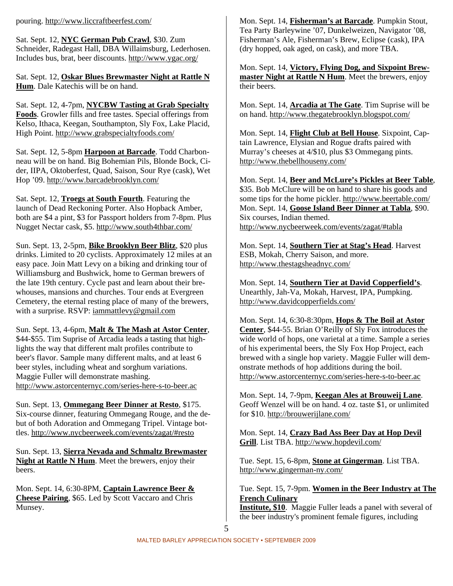Sat. Sept. 12, **NYC German Pub Crawl**, \$30. Zum Schneider, Radegast Hall, DBA Willaimsburg, Lederhosen. Includes bus, brat, beer discounts. http://www.ygac.org/

Sat. Sept. 12, **Oskar Blues Brewmaster Night at Rattle N Hum**. Dale Katechis will be on hand.

Sat. Sept. 12, 4-7pm, **NYCBW Tasting at Grab Specialty Foods**. Growler fills and free tastes. Special offerings from Kelso, Ithaca, Keegan, Southampton, Sly Fox, Lake Placid, High Point. http://www.grabspecialtyfoods.com/

Sat. Sept. 12, 5-8pm **Harpoon at Barcade**. Todd Charbonneau will be on hand. Big Bohemian Pils, Blonde Bock, Cider, IIPA, Oktoberfest, Quad, Saison, Sour Rye (cask), Wet Hop '09. http://www.barcadebrooklyn.com/

Sat. Sept. 12, **Troegs at South Fourth**. Featuring the launch of Dead Reckoning Porter. Also Hopback Amber, both are \$4 a pint, \$3 for Passport holders from 7-8pm. Plus Nugget Nectar cask, \$5. http://www.south4thbar.com/

Sun. Sept. 13, 2-5pm, **Bike Brooklyn Beer Blitz**, \$20 plus drinks. Limited to 20 cyclists. Approximately 12 miles at an easy pace. Join Matt Levy on a biking and drinking tour of Williamsburg and Bushwick, home to German brewers of the late 19th century. Cycle past and learn about their brewhouses, mansions and churches. Tour ends at Evergreen Cemetery, the eternal resting place of many of the brewers, with a surprise. RSVP: iammattlevy@gmail.com

Sun. Sept. 13, 4-6pm, **Malt & The Mash at Astor Center**, \$44-\$55. Tim Suprise of Arcadia leads a tasting that highlights the way that different malt profiles contribute to beer's flavor. Sample many different malts, and at least 6 beer styles, including wheat and sorghum variations. Maggie Fuller will demonstrate mashing. http://www.astorcenternyc.com/series-here-s-to-beer.ac

Sun. Sept. 13, **Ommegang Beer Dinner at Resto**, \$175. Six-course dinner, featuring Ommegang Rouge, and the debut of both Adoration and Ommegang Tripel. Vintage bottles. http://www.nycbeerweek.com/events/zagat/#resto

Sun. Sept. 13, **Sierra Nevada and Schmaltz Brewmaster Night at Rattle N Hum**. Meet the brewers, enjoy their beers.

Mon. Sept. 14, 6:30-8PM, **Captain Lawrence Beer & Cheese Pairing**, \$65. Led by Scott Vaccaro and Chris Munsey.

Mon. Sept. 14, **Fisherman's at Barcade**. Pumpkin Stout, Tea Party Barleywine '07, Dunkelweizen, Navigator '08, Fisherman's Ale, Fisherman's Brew, Eclipse (cask), IPA (dry hopped, oak aged, on cask), and more TBA.

Mon. Sept. 14, **Victory, Flying Dog, and Sixpoint Brewmaster Night at Rattle N Hum**. Meet the brewers, enjoy their beers.

Mon. Sept. 14, **Arcadia at The Gate**. Tim Suprise will be on hand. http://www.thegatebrooklyn.blogspot.com/

Mon. Sept. 14, **Flight Club at Bell House**. Sixpoint, Captain Lawrence, Elysian and Rogue drafts paired with Murray's cheeses at 4/\$10, plus \$3 Ommegang pints. http://www.thebellhouseny.com/

Mon. Sept. 14, **Beer and McLure's Pickles at Beer Table**, \$35. Bob McClure will be on hand to share his goods and some tips for the home pickler. http://www.beertable.com/ Mon. Sept. 14, **Goose Island Beer Dinner at Tabla**, \$90. Six courses, Indian themed. http://www.nycbeerweek.com/events/zagat/#tabla

Mon. Sept. 14, **Southern Tier at Stag's Head**. Harvest ESB, Mokah, Cherry Saison, and more. http://www.thestagsheadnyc.com/

Mon. Sept. 14, **Southern Tier at David Copperfield's**. Unearthly, Jah-Va, Mokah, Harvest, IPA, Pumpking. http://www.davidcopperfields.com/

Mon. Sept. 14, 6:30-8:30pm, **Hops & The Boil at Astor Center**, \$44-55. Brian O'Reilly of Sly Fox introduces the wide world of hops, one varietal at a time. Sample a series of his experimental beers, the Sly Fox Hop Project, each brewed with a single hop variety. Maggie Fuller will demonstrate methods of hop additions during the boil. http://www.astorcenternyc.com/series-here-s-to-beer.ac

Mon. Sept. 14, 7-9pm, **Keegan Ales at Brouweij Lane**. Geoff Wenzel will be on hand. 4 oz. taste \$1, or unlimited for \$10. http://brouwerijlane.com/

Mon. Sept. 14, **Crazy Bad Ass Beer Day at Hop Devil Grill**. List TBA. http://www.hopdevil.com/

Tue. Sept. 15, 6-8pm, **Stone at Gingerman**. List TBA. http://www.gingerman-ny.com/

Tue. Sept. 15, 7-9pm. **Women in the Beer Industry at The French Culinary**

**Institute, \$10**. Maggie Fuller leads a panel with several of the beer industry's prominent female figures, including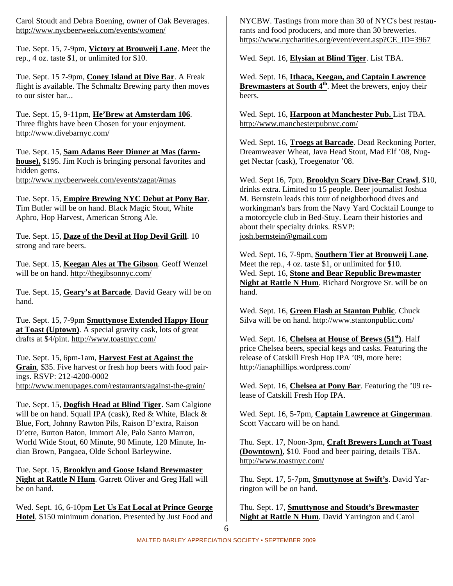Carol Stoudt and Debra Boening, owner of Oak Beverages. http://www.nycbeerweek.com/events/women/

Tue. Sept. 15, 7-9pm, **Victory at Brouweij Lane**. Meet the rep., 4 oz. taste \$1, or unlimited for \$10.

Tue. Sept. 15 7-9pm, **Coney Island at Dive Bar**. A Freak flight is available. The Schmaltz Brewing party then moves to our sister bar...

Tue. Sept. 15, 9-11pm, **He'Brew at Amsterdam 106**. Three flights have been Chosen for your enjoyment. http://www.divebarnyc.com/

Tue. Sept. 15, **Sam Adams Beer Dinner at Mas (farmhouse),** \$195. Jim Koch is bringing personal favorites and hidden gems. http://www.nycbeerweek.com/events/zagat/#mas

Tue. Sept. 15, **Empire Brewing NYC Debut at Pony Bar**. Tim Butler will be on hand. Black Magic Stout, White Aphro, Hop Harvest, American Strong Ale.

Tue. Sept. 15, **Daze of the Devil at Hop Devil Grill**. 10 strong and rare beers.

Tue. Sept. 15, **Keegan Ales at The Gibson**. Geoff Wenzel will be on hand. http://thegibsonnyc.com/

Tue. Sept. 15, **Geary's at Barcade**. David Geary will be on hand.

Tue. Sept. 15, 7-9pm **Smuttynose Extended Happy Hour at Toast (Uptown)**. A special gravity cask, lots of great drafts at \$4/pint. http://www.toastnyc.com/

Tue. Sept. 15, 6pm-1am, **Harvest Fest at Against the Grain**, \$35. Five harvest or fresh hop beers with food pairings. RSVP: 212-4200-0002 http://www.menupages.com/restaurants/against-the-grain/

Tue. Sept. 15, **Dogfish Head at Blind Tiger**. Sam Calgione will be on hand. Squall IPA (cask), Red & White, Black & Blue, Fort, Johnny Rawton Pils, Raison D'extra, Raison D'etre, Burton Baton, Immort Ale, Palo Santo Marron, World Wide Stout, 60 Minute, 90 Minute, 120 Minute, Indian Brown, Pangaea, Olde School Barleywine.

Tue. Sept. 15, **Brooklyn and Goose Island Brewmaster Night at Rattle N Hum**. Garrett Oliver and Greg Hall will be on hand.

Wed. Sept. 16, 6-10pm **Let Us Eat Local at Prince George Hotel**, \$150 minimum donation. Presented by Just Food and

NYCBW. Tastings from more than 30 of NYC's best restaurants and food producers, and more than 30 breweries. https://www.nycharities.org/event/event.asp?CE\_ID=3967

Wed. Sept. 16, **Elysian at Blind Tiger**. List TBA.

Wed. Sept. 16, **Ithaca, Keegan, and Captain Lawrence Brewmasters at South 4th**. Meet the brewers, enjoy their beers.

Wed. Sept. 16, **Harpoon at Manchester Pub.** List TBA. http://www.manchesterpubnyc.com/

Wed. Sept. 16, **Troegs at Barcade**. Dead Reckoning Porter, Dreamweaver Wheat, Java Head Stout, Mad Elf '08, Nugget Nectar (cask), Troegenator '08.

Wed. Sept 16, 7pm, **Brooklyn Scary Dive-Bar Crawl**, \$10, drinks extra. Limited to 15 people. Beer journalist Joshua M. Bernstein leads this tour of neighborhood dives and workingman's bars from the Navy Yard Cocktail Lounge to a motorcycle club in Bed-Stuy. Learn their histories and about their specialty drinks. RSVP: josh.bernstein@gmail.com

Wed. Sept. 16, 7-9pm, **Southern Tier at Brouweij Lane**. Meet the rep., 4 oz. taste \$1, or unlimited for \$10. Wed. Sept. 16, **Stone and Bear Republic Brewmaster Night at Rattle N Hum**. Richard Norgrove Sr. will be on hand.

Wed. Sept. 16, **Green Flash at Stanton Public**. Chuck Silva will be on hand. http://www.stantonpublic.com/

Wed. Sept. 16, **Chelsea at House of Brews (51st)**. Half price Chelsea beers, special kegs and casks. Featuring the release of Catskill Fresh Hop IPA '09, more here: http://ianaphillips.wordpress.com/

Wed. Sept. 16, **Chelsea at Pony Bar**. Featuring the '09 release of Catskill Fresh Hop IPA.

Wed. Sept. 16, 5-7pm, **Captain Lawrence at Gingerman**. Scott Vaccaro will be on hand.

Thu. Sept. 17, Noon-3pm, **Craft Brewers Lunch at Toast (Downtown)**, \$10. Food and beer pairing, details TBA. http://www.toastnyc.com/

Thu. Sept. 17, 5-7pm, **Smuttynose at Swift's**. David Yarrington will be on hand.

Thu. Sept. 17, **Smuttynose and Stoudt's Brewmaster Night at Rattle N Hum**. David Yarrington and Carol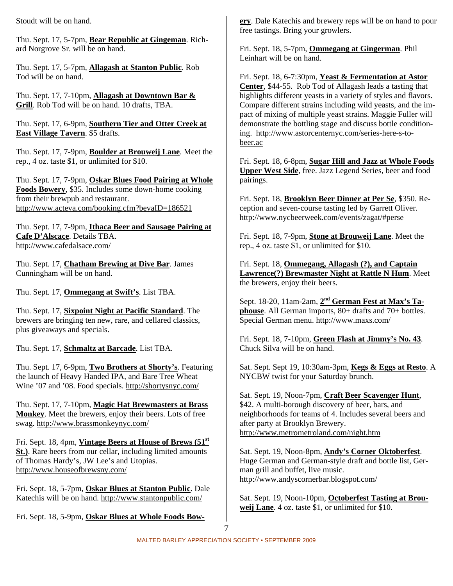Stoudt will be on hand.

Thu. Sept. 17, 5-7pm, **Bear Republic at Gingeman**. Richard Norgrove Sr. will be on hand.

Thu. Sept. 17, 5-7pm, **Allagash at Stanton Public**. Rob Tod will be on hand.

Thu. Sept. 17, 7-10pm, **Allagash at Downtown Bar & Grill**. Rob Tod will be on hand. 10 drafts, TBA.

Thu. Sept. 17, 6-9pm, **Southern Tier and Otter Creek at East Village Tavern**. \$5 drafts.

Thu. Sept. 17, 7-9pm, **Boulder at Brouweij Lane**. Meet the rep., 4 oz. taste \$1, or unlimited for \$10.

Thu. Sept. 17, 7-9pm, **Oskar Blues Food Pairing at Whole Foods Bowery**, \$35. Includes some down-home cooking from their brewpub and restaurant. http://www.acteva.com/booking.cfm?bevaID=186521

Thu. Sept. 17, 7-9pm, **Ithaca Beer and Sausage Pairing at Cafe D'Alscace**. Details TBA. http://www.cafedalsace.com/

Thu. Sept. 17, **Chatham Brewing at Dive Bar**. James Cunningham will be on hand.

Thu. Sept. 17, **Ommegang at Swift's**. List TBA.

Thu. Sept. 17, **Sixpoint Night at Pacific Standard**. The brewers are bringing ten new, rare, and cellared classics, plus giveaways and specials.

Thu. Sept. 17, **Schmaltz at Barcade**. List TBA.

Thu. Sept. 17, 6-9pm, **Two Brothers at Shorty's**. Featuring the launch of Heavy Handed IPA, and Bare Tree Wheat Wine '07 and '08. Food specials. http://shortysnyc.com/

Thu. Sept. 17, 7-10pm, **Magic Hat Brewmasters at Brass Monkey**. Meet the brewers, enjoy their beers. Lots of free swag. http://www.brassmonkeynyc.com/

Fri. Sept. 18, 4pm, **Vintage Beers at House of Brews (51st St.)**. Rare beers from our cellar, including limited amounts of Thomas Hardy's, JW Lee's and Utopias. http://www.houseofbrewsny.com/

Fri. Sept. 18, 5-7pm, **Oskar Blues at Stanton Public**. Dale Katechis will be on hand. http://www.stantonpublic.com/

Fri. Sept. 18, 5-9pm, **Oskar Blues at Whole Foods Bow-**

**ery**. Dale Katechis and brewery reps will be on hand to pour free tastings. Bring your growlers.

Fri. Sept. 18, 5-7pm, **Ommegang at Gingerman**. Phil Leinhart will be on hand.

Fri. Sept. 18, 6-7:30pm, **Yeast & Fermentation at Astor Center**, \$44-55. Rob Tod of Allagash leads a tasting that highlights different yeasts in a variety of styles and flavors. Compare different strains including wild yeasts, and the impact of mixing of multiple yeast strains. Maggie Fuller will demonstrate the bottling stage and discuss bottle conditioning. http://www.astorcenternyc.com/series-here-s-tobeer.ac

Fri. Sept. 18, 6-8pm, **Sugar Hill and Jazz at Whole Foods Upper West Side**, free. Jazz Legend Series, beer and food pairings.

Fri. Sept. 18, **Brooklyn Beer Dinner at Per Se**, \$350. Reception and seven-course tasting led by Garrett Oliver. http://www.nycbeerweek.com/events/zagat/#perse

Fri. Sept. 18, 7-9pm, **Stone at Brouweij Lane**. Meet the rep., 4 oz. taste \$1, or unlimited for \$10.

Fri. Sept. 18, **Ommegang, Allagash (?), and Captain Lawrence(?) Brewmaster Night at Rattle N Hum**. Meet the brewers, enjoy their beers.

Sept. 18-20, 11am-2am, **2nd German Fest at Max's Taphouse**. All German imports, 80+ drafts and 70+ bottles. Special German menu. http://www.maxs.com/

Fri. Sept. 18, 7-10pm, **Green Flash at Jimmy's No. 43**. Chuck Silva will be on hand.

Sat. Sept. Sept 19, 10:30am-3pm, **Kegs & Eggs at Resto**. A NYCBW twist for your Saturday brunch.

Sat. Sept. 19, Noon-7pm, **Craft Beer Scavenger Hunt**, \$42. A multi-borough discovery of beer, bars, and neighborhoods for teams of 4. Includes several beers and after party at Brooklyn Brewery. http://www.metrometroland.com/night.htm

Sat. Sept. 19, Noon-8pm, **Andy's Corner Oktoberfest**. Huge German and German-style draft and bottle list, German grill and buffet, live music. http://www.andyscornerbar.blogspot.com/

Sat. Sept. 19, Noon-10pm, **Octoberfest Tasting at Brouweij Lane**. 4 oz. taste \$1, or unlimited for \$10.